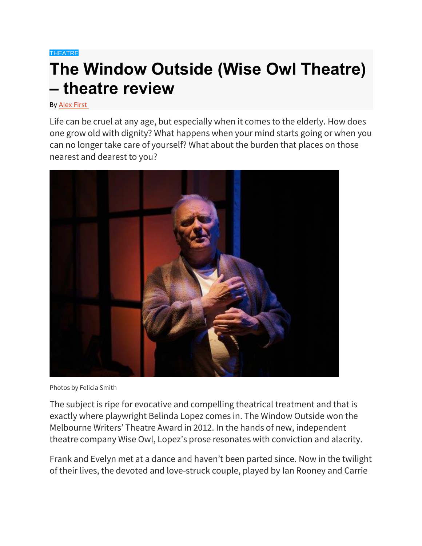## **[THEATRE](http://theblurb.com.au/wp/category/theatre/) The Window Outside (Wise Owl Theatre) – theatre review**

By [Alex First](http://theblurb.com.au/wp/author/alexfirst/)

Life can be cruel at any age, but especially when it comes to the elderly. How does one grow old with dignity? What happens when your mind starts going or when you can no longer take care of yourself? What about the burden that places on those nearest and dearest to you?



Photos by Felicia Smith

The subject is ripe for evocative and compelling theatrical treatment and that is exactly where playwright Belinda Lopez comes in. The Window Outside won the Melbourne Writers' Theatre Award in 2012. In the hands of new, independent theatre company Wise Owl, Lopez's prose resonates with conviction and alacrity.

Frank and Evelyn met at a dance and haven't been parted since. Now in the twilight of their lives, the devoted and love-struck couple, played by Ian Rooney and Carrie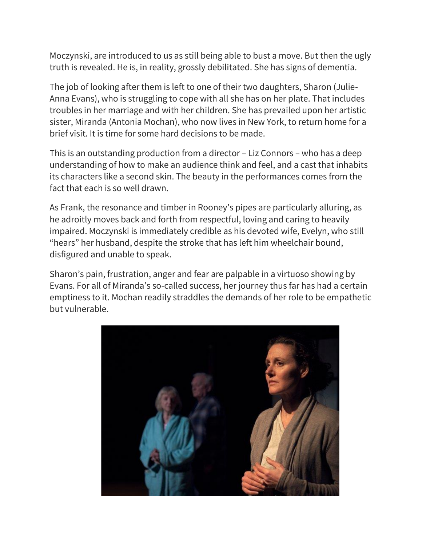Moczynski, are introduced to us as still being able to bust a move. But then the ugly truth is revealed. He is, in reality, grossly debilitated. She has signs of dementia.

The job of looking after them is left to one of their two daughters, Sharon (Julie-Anna Evans), who is struggling to cope with all she has on her plate. That includes troubles in her marriage and with her children. She has prevailed upon her artistic sister, Miranda (Antonia Mochan), who now lives in New York, to return home for a brief visit. It is time for some hard decisions to be made.

This is an outstanding production from a director – Liz Connors – who has a deep understanding of how to make an audience think and feel, and a cast that inhabits its characters like a second skin. The beauty in the performances comes from the fact that each is so well drawn.

As Frank, the resonance and timber in Rooney's pipes are particularly alluring, as he adroitly moves back and forth from respectful, loving and caring to heavily impaired. Moczynski is immediately credible as his devoted wife, Evelyn, who still "hears" her husband, despite the stroke that has left him wheelchair bound, disfigured and unable to speak.

Sharon's pain, frustration, anger and fear are palpable in a virtuoso showing by Evans. For all of Miranda's so-called success, her journey thus far has had a certain emptiness to it. Mochan readily straddles the demands of her role to be empathetic but vulnerable.